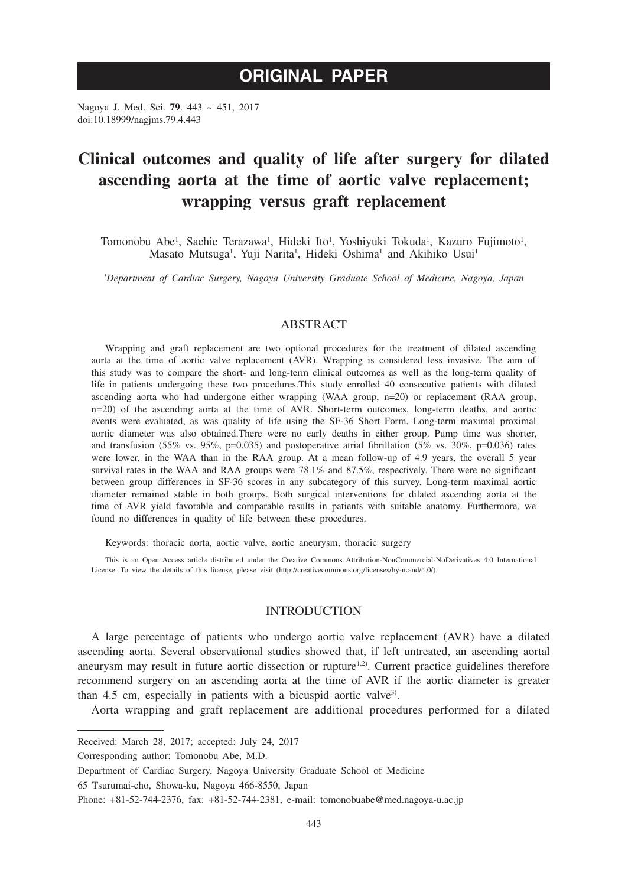# **ORIGINAL PAPER**

Nagoya J. Med. Sci. **79**. 443 ~ 451, 2017 doi:10.18999/nagjms.79.4.443

# **Clinical outcomes and quality of life after surgery for dilated ascending aorta at the time of aortic valve replacement; wrapping versus graft replacement**

Tomonobu Abe<sup>1</sup>, Sachie Terazawa<sup>1</sup>, Hideki Ito<sup>1</sup>, Yoshiyuki Tokuda<sup>1</sup>, Kazuro Fujimoto<sup>1</sup>, Masato Mutsuga<sup>1</sup>, Yuji Narita<sup>1</sup>, Hideki Oshima<sup>1</sup> and Akihiko Usui<sup>1</sup>

*1 Department of Cardiac Surgery, Nagoya University Graduate School of Medicine, Nagoya, Japan*

## ABSTRACT

Wrapping and graft replacement are two optional procedures for the treatment of dilated ascending aorta at the time of aortic valve replacement (AVR). Wrapping is considered less invasive. The aim of this study was to compare the short- and long-term clinical outcomes as well as the long-term quality of life in patients undergoing these two procedures.This study enrolled 40 consecutive patients with dilated ascending aorta who had undergone either wrapping (WAA group, n=20) or replacement (RAA group, n=20) of the ascending aorta at the time of AVR. Short-term outcomes, long-term deaths, and aortic events were evaluated, as was quality of life using the SF-36 Short Form. Long-term maximal proximal aortic diameter was also obtained.There were no early deaths in either group. Pump time was shorter, and transfusion (55% vs. 95%, p=0.035) and postoperative atrial fibrillation (5% vs. 30%, p=0.036) rates were lower, in the WAA than in the RAA group. At a mean follow-up of 4.9 years, the overall 5 year survival rates in the WAA and RAA groups were 78.1% and 87.5%, respectively. There were no significant between group differences in SF-36 scores in any subcategory of this survey. Long-term maximal aortic diameter remained stable in both groups. Both surgical interventions for dilated ascending aorta at the time of AVR yield favorable and comparable results in patients with suitable anatomy. Furthermore, we found no differences in quality of life between these procedures.

Keywords: thoracic aorta, aortic valve, aortic aneurysm, thoracic surgery

This is an Open Access article distributed under the Creative Commons Attribution-NonCommercial-NoDerivatives 4.0 International License. To view the details of this license, please visit (http://creativecommons.org/licenses/by-nc-nd/4.0/).

## INTRODUCTION

A large percentage of patients who undergo aortic valve replacement (AVR) have a dilated ascending aorta. Several observational studies showed that, if left untreated, an ascending aortal aneurysm may result in future aortic dissection or rupture<sup>1,2)</sup>. Current practice guidelines therefore recommend surgery on an ascending aorta at the time of AVR if the aortic diameter is greater than 4.5 cm, especially in patients with a bicuspid aortic valve<sup>3)</sup>.

Aorta wrapping and graft replacement are additional procedures performed for a dilated

Received: March 28, 2017; accepted: July 24, 2017

Corresponding author: Tomonobu Abe, M.D.

Department of Cardiac Surgery, Nagoya University Graduate School of Medicine

<sup>65</sup> Tsurumai-cho, Showa-ku, Nagoya 466-8550, Japan

Phone: +81-52-744-2376, fax: +81-52-744-2381, e-mail: tomonobuabe@med.nagoya-u.ac.jp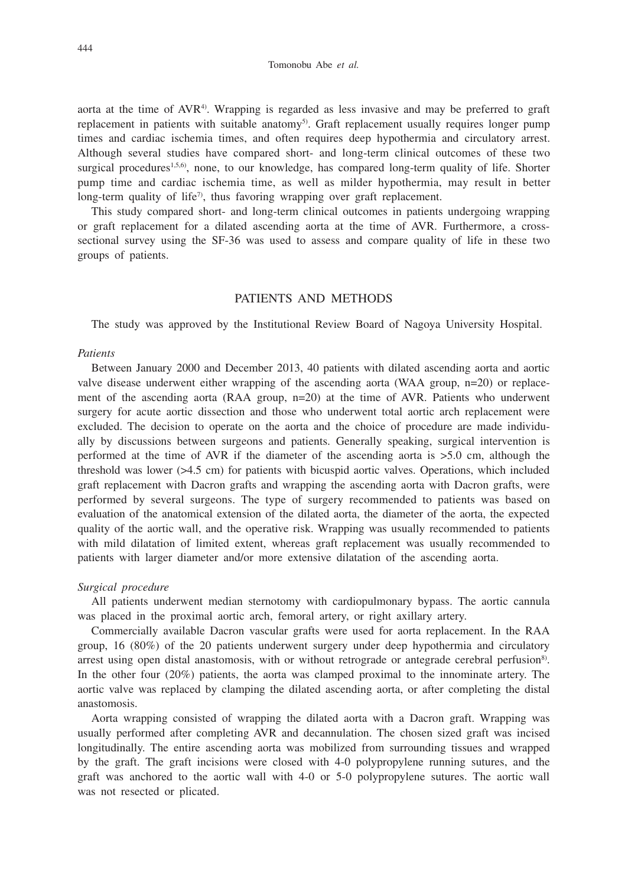aorta at the time of AVR4). Wrapping is regarded as less invasive and may be preferred to graft replacement in patients with suitable anatomy<sup>5</sup>. Graft replacement usually requires longer pump times and cardiac ischemia times, and often requires deep hypothermia and circulatory arrest. Although several studies have compared short- and long-term clinical outcomes of these two surgical procedures<sup>1,5,6</sup>, none, to our knowledge, has compared long-term quality of life. Shorter pump time and cardiac ischemia time, as well as milder hypothermia, may result in better long-term quality of life<sup> $\tau$ </sup>), thus favoring wrapping over graft replacement.

This study compared short- and long-term clinical outcomes in patients undergoing wrapping or graft replacement for a dilated ascending aorta at the time of AVR. Furthermore, a crosssectional survey using the SF-36 was used to assess and compare quality of life in these two groups of patients.

## PATIENTS AND METHODS

The study was approved by the Institutional Review Board of Nagoya University Hospital.

#### *Patients*

Between January 2000 and December 2013, 40 patients with dilated ascending aorta and aortic valve disease underwent either wrapping of the ascending aorta (WAA group, n=20) or replacement of the ascending aorta (RAA group, n=20) at the time of AVR. Patients who underwent surgery for acute aortic dissection and those who underwent total aortic arch replacement were excluded. The decision to operate on the aorta and the choice of procedure are made individually by discussions between surgeons and patients. Generally speaking, surgical intervention is performed at the time of AVR if the diameter of the ascending aorta is >5.0 cm, although the threshold was lower (>4.5 cm) for patients with bicuspid aortic valves. Operations, which included graft replacement with Dacron grafts and wrapping the ascending aorta with Dacron grafts, were performed by several surgeons. The type of surgery recommended to patients was based on evaluation of the anatomical extension of the dilated aorta, the diameter of the aorta, the expected quality of the aortic wall, and the operative risk. Wrapping was usually recommended to patients with mild dilatation of limited extent, whereas graft replacement was usually recommended to patients with larger diameter and/or more extensive dilatation of the ascending aorta.

### *Surgical procedure*

All patients underwent median sternotomy with cardiopulmonary bypass. The aortic cannula was placed in the proximal aortic arch, femoral artery, or right axillary artery.

Commercially available Dacron vascular grafts were used for aorta replacement. In the RAA group, 16 (80%) of the 20 patients underwent surgery under deep hypothermia and circulatory arrest using open distal anastomosis, with or without retrograde or antegrade cerebral perfusion<sup>8)</sup>. In the other four (20%) patients, the aorta was clamped proximal to the innominate artery. The aortic valve was replaced by clamping the dilated ascending aorta, or after completing the distal anastomosis.

Aorta wrapping consisted of wrapping the dilated aorta with a Dacron graft. Wrapping was usually performed after completing AVR and decannulation. The chosen sized graft was incised longitudinally. The entire ascending aorta was mobilized from surrounding tissues and wrapped by the graft. The graft incisions were closed with 4-0 polypropylene running sutures, and the graft was anchored to the aortic wall with 4-0 or 5-0 polypropylene sutures. The aortic wall was not resected or plicated.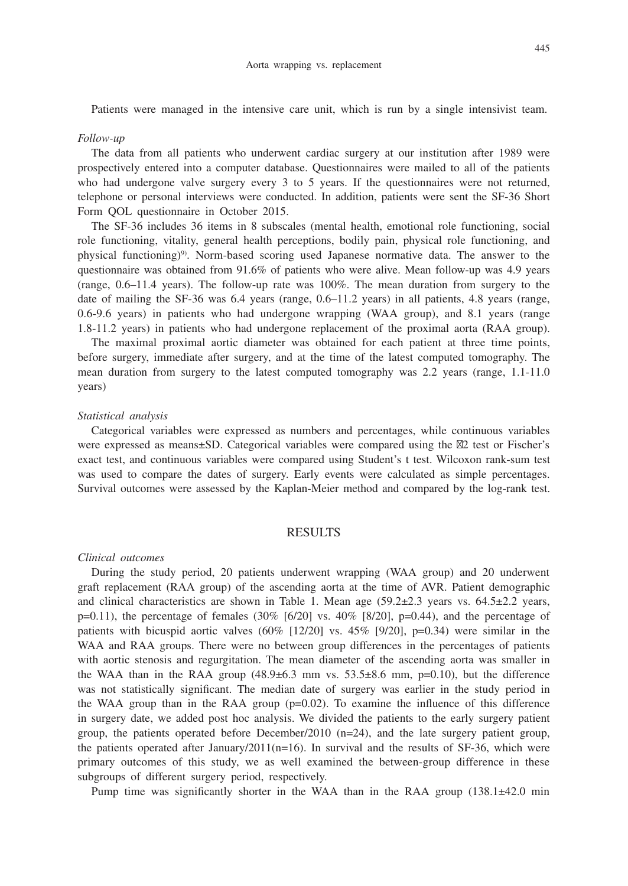Patients were managed in the intensive care unit, which is run by a single intensivist team.

#### *Follow-up*

The data from all patients who underwent cardiac surgery at our institution after 1989 were prospectively entered into a computer database. Questionnaires were mailed to all of the patients who had undergone valve surgery every 3 to 5 years. If the questionnaires were not returned, telephone or personal interviews were conducted. In addition, patients were sent the SF-36 Short Form QOL questionnaire in October 2015.

The SF-36 includes 36 items in 8 subscales (mental health, emotional role functioning, social role functioning, vitality, general health perceptions, bodily pain, physical role functioning, and physical functioning)9). Norm-based scoring used Japanese normative data. The answer to the questionnaire was obtained from 91.6% of patients who were alive. Mean follow-up was 4.9 years (range, 0.6–11.4 years). The follow-up rate was 100%. The mean duration from surgery to the date of mailing the SF-36 was 6.4 years (range, 0.6–11.2 years) in all patients, 4.8 years (range, 0.6-9.6 years) in patients who had undergone wrapping (WAA group), and 8.1 years (range 1.8-11.2 years) in patients who had undergone replacement of the proximal aorta (RAA group).

The maximal proximal aortic diameter was obtained for each patient at three time points, before surgery, immediate after surgery, and at the time of the latest computed tomography. The mean duration from surgery to the latest computed tomography was 2.2 years (range, 1.1-11.0 years)

### *Statistical analysis*

Categorical variables were expressed as numbers and percentages, while continuous variables were expressed as means±SD. Categorical variables were compared using the 2 test or Fischer's exact test, and continuous variables were compared using Student's t test. Wilcoxon rank-sum test was used to compare the dates of surgery. Early events were calculated as simple percentages. Survival outcomes were assessed by the Kaplan-Meier method and compared by the log-rank test.

## RESULTS

#### *Clinical outcomes*

During the study period, 20 patients underwent wrapping (WAA group) and 20 underwent graft replacement (RAA group) of the ascending aorta at the time of AVR. Patient demographic and clinical characteristics are shown in Table 1. Mean age  $(59.2\pm 2.3$  years vs.  $64.5\pm 2.2$  years,  $p=0.11$ ), the percentage of females (30% [6/20] vs. 40% [8/20],  $p=0.44$ ), and the percentage of patients with bicuspid aortic valves  $(60\%$  [12/20] vs. 45% [9/20], p=0.34) were similar in the WAA and RAA groups. There were no between group differences in the percentages of patients with aortic stenosis and regurgitation. The mean diameter of the ascending aorta was smaller in the WAA than in the RAA group  $(48.9\pm6.3 \text{ mm} \text{ vs. } 53.5\pm8.6 \text{ mm}, \text{ p=0.10})$ , but the difference was not statistically significant. The median date of surgery was earlier in the study period in the WAA group than in the RAA group  $(p=0.02)$ . To examine the influence of this difference in surgery date, we added post hoc analysis. We divided the patients to the early surgery patient group, the patients operated before December/2010 (n=24), and the late surgery patient group, the patients operated after January/2011( $n=16$ ). In survival and the results of SF-36, which were primary outcomes of this study, we as well examined the between-group difference in these subgroups of different surgery period, respectively.

Pump time was significantly shorter in the WAA than in the RAA group  $(138.1 \pm 42.0 \text{ min})$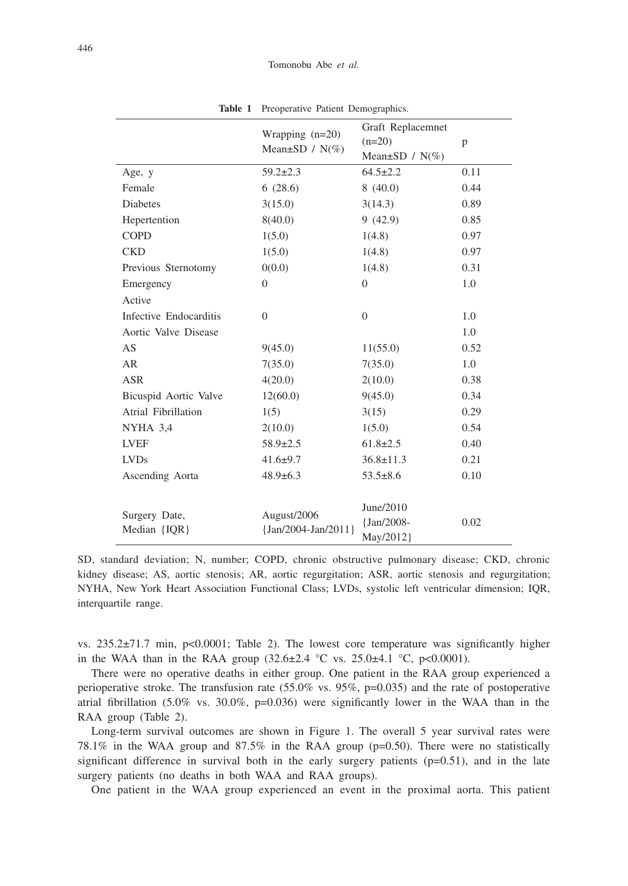|                        |                                    | Graft Replacemnet    |      |
|------------------------|------------------------------------|----------------------|------|
|                        | Wrapping $(n=20)$                  | $(n=20)$             | p    |
|                        | Mean $\pm$ SD / N(%)               | Mean $\pm$ SD / N(%) |      |
| Age, y                 | $59.2 \pm 2.3$                     | $64.5 \pm 2.2$       | 0.11 |
| Female                 | 6(28.6)                            | 8(40.0)              | 0.44 |
| <b>Diabetes</b>        | 3(15.0)                            | 3(14.3)              | 0.89 |
| Hepertention           | 8(40.0)                            | 9(42.9)              | 0.85 |
| <b>COPD</b>            | 1(5.0)                             | 1(4.8)               | 0.97 |
| <b>CKD</b>             | 1(5.0)                             | 1(4.8)               | 0.97 |
| Previous Sternotomy    | 0(0.0)                             | 1(4.8)               | 0.31 |
| Emergency              | $\overline{0}$                     | $\Omega$             | 1.0  |
| Active                 |                                    |                      |      |
| Infective Endocarditis | $\Omega$                           | $\theta$             | 1.0  |
| Aortic Valve Disease   |                                    |                      | 1.0  |
| AS                     | 9(45.0)                            | 11(55.0)             | 0.52 |
| <b>AR</b>              | 7(35.0)                            | 7(35.0)              | 1.0  |
| <b>ASR</b>             | 4(20.0)                            | 2(10.0)              | 0.38 |
| Bicuspid Aortic Valve  | 12(60.0)                           | 9(45.0)              | 0.34 |
| Atrial Fibrillation    | 1(5)                               | 3(15)                | 0.29 |
| NYHA 3,4               | 2(10.0)                            | 1(5.0)               | 0.54 |
| <b>LVEF</b>            | $58.9 \pm 2.5$                     | $61.8 \pm 2.5$       | 0.40 |
| <b>LVDs</b>            | $41.6 \pm 9.7$                     | $36.8 \pm 11.3$      | 0.21 |
| Ascending Aorta        | $48.9 \pm 6.3$                     | $53.5 \pm 8.6$       | 0.10 |
|                        |                                    |                      |      |
|                        |                                    | June/2010            |      |
| Surgery Date,          | August/2006<br>{Jan/2004-Jan/2011} | $\{Jan/2008 -$       | 0.02 |
| Median {IQR}           |                                    | May/2012}            |      |

**Table 1** Preoperative Patient Demographics.

SD, standard deviation; N, number; COPD, chronic obstructive pulmonary disease; CKD, chronic kidney disease; AS, aortic stenosis; AR, aortic regurgitation; ASR, aortic stenosis and regurgitation; NYHA, New York Heart Association Functional Class; LVDs, systolic left ventricular dimension; IQR, interquartile range.

vs. 235.2±71.7 min, p<0.0001; Table 2). The lowest core temperature was significantly higher in the WAA than in the RAA group  $(32.6 \pm 2.4 \degree C \text{ vs. } 25.0 \pm 4.1 \degree C, \text{ p} < 0.0001)$ .

There were no operative deaths in either group. One patient in the RAA group experienced a perioperative stroke. The transfusion rate  $(55.0\% \text{ vs. } 95\%, \text{ p=0.035})$  and the rate of postoperative atrial fibrillation (5.0% vs. 30.0%,  $p=0.036$ ) were significantly lower in the WAA than in the RAA group (Table 2).

Long-term survival outcomes are shown in Figure 1. The overall 5 year survival rates were 78.1% in the WAA group and 87.5% in the RAA group (p=0.50). There were no statistically significant difference in survival both in the early surgery patients  $(p=0.51)$ , and in the late surgery patients (no deaths in both WAA and RAA groups).

One patient in the WAA group experienced an event in the proximal aorta. This patient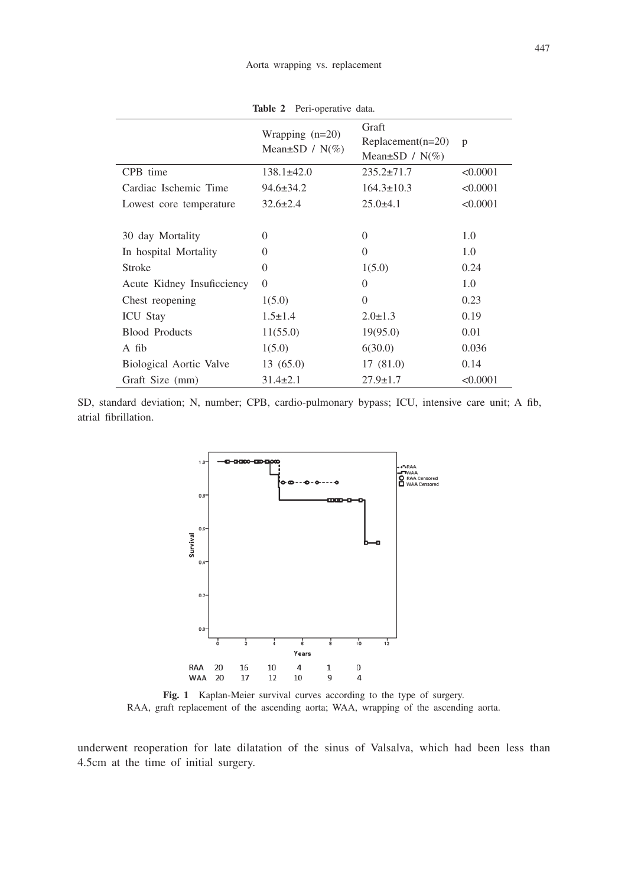| <b>able 2</b> Peri-operative data.        |                                                      |              |
|-------------------------------------------|------------------------------------------------------|--------------|
| Wrapping $(n=20)$<br>Mean $\pm$ SD / N(%) | Graft<br>$Replacement(n=20)$<br>Mean $\pm$ SD / N(%) | $\mathbf{D}$ |
| $138.1\pm42.0$                            | $235.2 \pm 71.7$                                     | < 0.0001     |

Table 2 Peri-o

| CPB time                   | $138.1 \pm 42.0$ | $235.2 \pm 71.7$ | < 0.0001 |
|----------------------------|------------------|------------------|----------|
| Cardiac Ischemic Time      | $94.6 \pm 34.2$  | $164.3 \pm 10.3$ | < 0.0001 |
| Lowest core temperature    | $32.6 \pm 2.4$   | $25.0\pm4.1$     | < 0.0001 |
|                            | $\theta$         | $\Omega$         |          |
| 30 day Mortality           |                  |                  | 1.0      |
| In hospital Mortality      | $\theta$         | $\Omega$         | 1.0      |
| <b>Stroke</b>              | $\theta$         | 1(5.0)           | 0.24     |
| Acute Kidney Insuficciency | $\Omega$         | $\Omega$         | 1.0      |
| Chest reopening            | 1(5.0)           | $\Omega$         | 0.23     |
| <b>ICU</b> Stay            | $1.5 \pm 1.4$    | $2.0 \pm 1.3$    | 0.19     |
| <b>Blood Products</b>      | 11(55.0)         | 19(95.0)         | 0.01     |
| A fib                      | 1(5.0)           | 6(30.0)          | 0.036    |
| Biological Aortic Valve    | 13(65.0)         | 17(81.0)         | 0.14     |
| Graft Size (mm)            | $31.4 \pm 2.1$   | $27.9 \pm 1.7$   | < 0.0001 |

SD, standard deviation; N, number; CPB, cardio-pulmonary bypass; ICU, intensive care unit; A fib, atrial fibrillation.



**Fig. 1** Kaplan-Meier survival curves according to the type of surgery. RAA, graft replacement of the ascending aorta; WAA, wrapping of the ascending aorta.

underwent reoperation for late dilatation of the sinus of Valsalva, which had been less than 4.5cm at the time of initial surgery.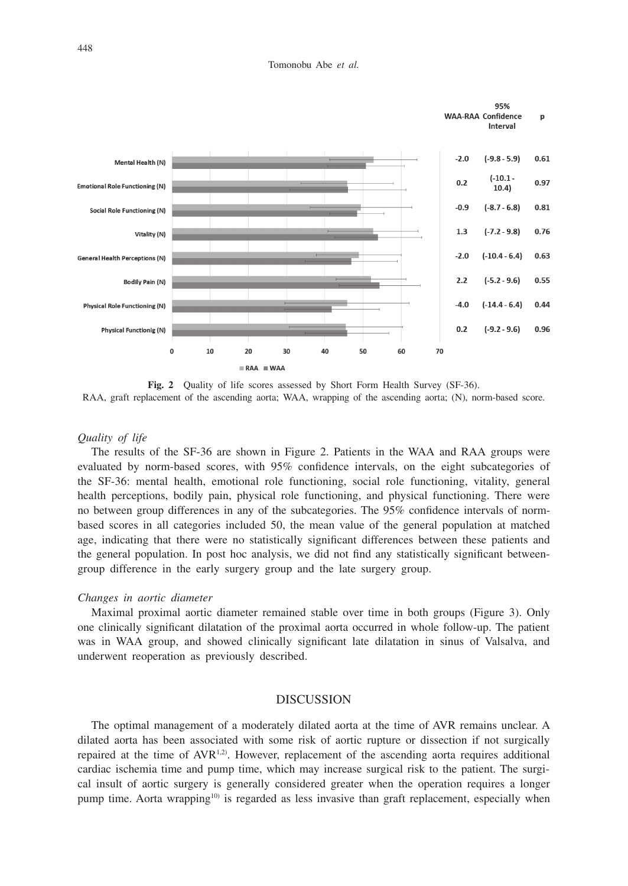Tomonobu Abe *et al.*



Fig. 2 Quality of life scores assessed by Short Form Health Survey (SF-36). RAA, graft replacement of the ascending aorta; WAA, wrapping of the ascending aorta; (N), norm-based score.

## *Quality of life*

The results of the SF-36 are shown in Figure 2. Patients in the WAA and RAA groups were evaluated by norm-based scores, with 95% confidence intervals, on the eight subcategories of the SF-36: mental health, emotional role functioning, social role functioning, vitality, general health perceptions, bodily pain, physical role functioning, and physical functioning. There were no between group differences in any of the subcategories. The 95% confidence intervals of normbased scores in all categories included 50, the mean value of the general population at matched age, indicating that there were no statistically significant differences between these patients and the general population. In post hoc analysis, we did not find any statistically significant betweengroup difference in the early surgery group and the late surgery group.

## *Changes in aortic diameter*

Maximal proximal aortic diameter remained stable over time in both groups (Figure 3). Only one clinically significant dilatation of the proximal aorta occurred in whole follow-up. The patient was in WAA group, and showed clinically significant late dilatation in sinus of Valsalva, and underwent reoperation as previously described.

#### **DISCUSSION**

The optimal management of a moderately dilated aorta at the time of AVR remains unclear. A dilated aorta has been associated with some risk of aortic rupture or dissection if not surgically repaired at the time of AVR<sup>1,2)</sup>. However, replacement of the ascending aorta requires additional cardiac ischemia time and pump time, which may increase surgical risk to the patient. The surgical insult of aortic surgery is generally considered greater when the operation requires a longer pump time. Aorta wrapping<sup>10)</sup> is regarded as less invasive than graft replacement, especially when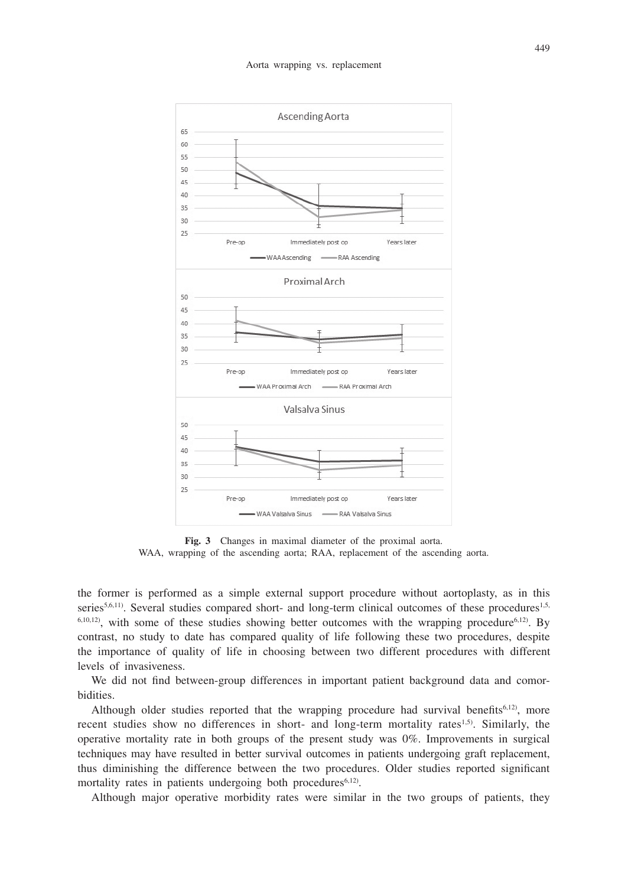

**Fig. 3** Changes in maximal diameter of the proximal aorta. WAA, wrapping of the ascending aorta; RAA, replacement of the ascending aorta.

the former is performed as a simple external support procedure without aortoplasty, as in this series<sup>5,6,11)</sup>. Several studies compared short- and long-term clinical outcomes of these procedures<sup>1,5,</sup> 6,10,12), with some of these studies showing better outcomes with the wrapping procedure6,12). By contrast, no study to date has compared quality of life following these two procedures, despite the importance of quality of life in choosing between two different procedures with different levels of invasiveness.

We did not find between-group differences in important patient background data and comorbidities.

Although older studies reported that the wrapping procedure had survival benefits<sup> $6,12$ </sup>, more recent studies show no differences in short- and long-term mortality rates<sup>1,5)</sup>. Similarly, the operative mortality rate in both groups of the present study was 0%. Improvements in surgical techniques may have resulted in better survival outcomes in patients undergoing graft replacement, thus diminishing the difference between the two procedures. Older studies reported significant mortality rates in patients undergoing both procedures<sup>6,12)</sup>.

Although major operative morbidity rates were similar in the two groups of patients, they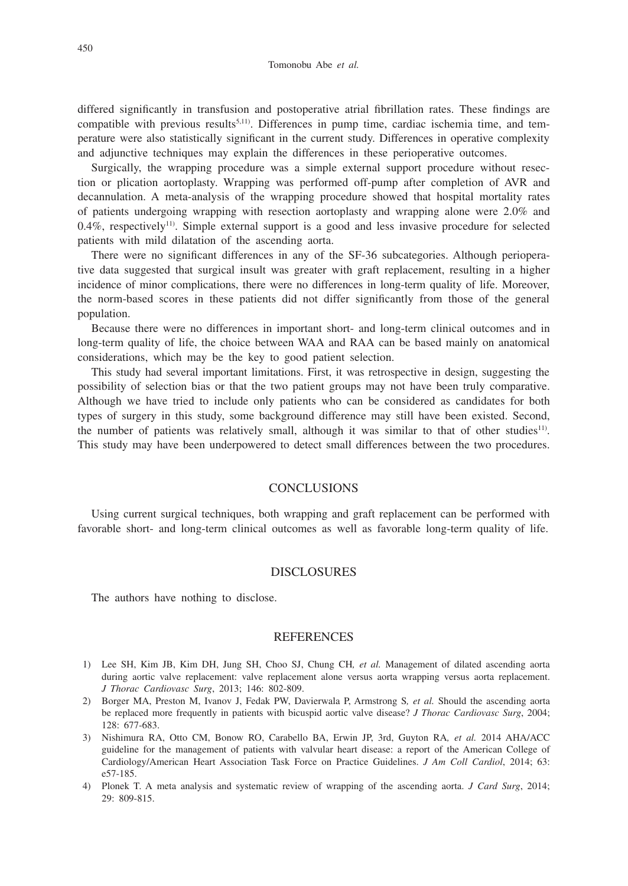differed significantly in transfusion and postoperative atrial fibrillation rates. These findings are compatible with previous results<sup>5,11)</sup>. Differences in pump time, cardiac ischemia time, and temperature were also statistically significant in the current study. Differences in operative complexity and adjunctive techniques may explain the differences in these perioperative outcomes.

Surgically, the wrapping procedure was a simple external support procedure without resection or plication aortoplasty. Wrapping was performed off-pump after completion of AVR and decannulation. A meta-analysis of the wrapping procedure showed that hospital mortality rates of patients undergoing wrapping with resection aortoplasty and wrapping alone were 2.0% and  $0.4\%$ , respectively<sup>11</sup>. Simple external support is a good and less invasive procedure for selected patients with mild dilatation of the ascending aorta.

There were no significant differences in any of the SF-36 subcategories. Although perioperative data suggested that surgical insult was greater with graft replacement, resulting in a higher incidence of minor complications, there were no differences in long-term quality of life. Moreover, the norm-based scores in these patients did not differ significantly from those of the general population.

Because there were no differences in important short- and long-term clinical outcomes and in long-term quality of life, the choice between WAA and RAA can be based mainly on anatomical considerations, which may be the key to good patient selection.

This study had several important limitations. First, it was retrospective in design, suggesting the possibility of selection bias or that the two patient groups may not have been truly comparative. Although we have tried to include only patients who can be considered as candidates for both types of surgery in this study, some background difference may still have been existed. Second, the number of patients was relatively small, although it was similar to that of other studies11). This study may have been underpowered to detect small differences between the two procedures.

# **CONCLUSIONS**

Using current surgical techniques, both wrapping and graft replacement can be performed with favorable short- and long-term clinical outcomes as well as favorable long-term quality of life.

## DISCLOSURES

The authors have nothing to disclose.

### REFERENCES

- 1) Lee SH, Kim JB, Kim DH, Jung SH, Choo SJ, Chung CH*, et al.* Management of dilated ascending aorta during aortic valve replacement: valve replacement alone versus aorta wrapping versus aorta replacement. *J Thorac Cardiovasc Surg*, 2013; 146: 802-809.
- 2) Borger MA, Preston M, Ivanov J, Fedak PW, Davierwala P, Armstrong S*, et al.* Should the ascending aorta be replaced more frequently in patients with bicuspid aortic valve disease? *J Thorac Cardiovasc Surg*, 2004; 128: 677-683.
- 3) Nishimura RA, Otto CM, Bonow RO, Carabello BA, Erwin JP, 3rd, Guyton RA*, et al.* 2014 AHA/ACC guideline for the management of patients with valvular heart disease: a report of the American College of Cardiology/American Heart Association Task Force on Practice Guidelines. *J Am Coll Cardiol*, 2014; 63: e57-185.
- 4) Plonek T. A meta analysis and systematic review of wrapping of the ascending aorta. *J Card Surg*, 2014; 29: 809-815.